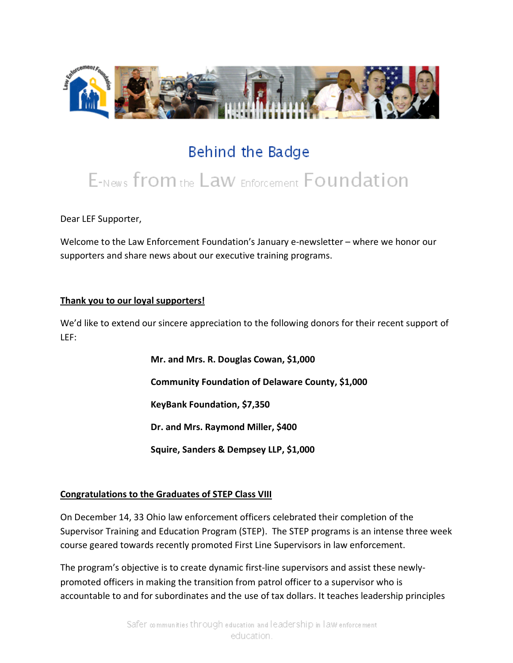

# Behind the Badge

# E-News from the Law Enforcement Foundation

Dear LEF Supporter,

Welcome to the Law Enforcement Foundation's January e-newsletter – where we honor our supporters and share news about our executive training programs.

#### **Thank you to our loyal supporters!**

We'd like to extend our sincere appreciation to the following donors for their recent support of LEF:

> **Mr. and Mrs. R. Douglas Cowan, \$1,000 Community Foundation of Delaware County, \$1,000 KeyBank Foundation, \$7,350 Dr. and Mrs. Raymond Miller, \$400 Squire, Sanders & Dempsey LLP, \$1,000**

#### **Congratulations to the Graduates of STEP Class VIII**

On December 14, 33 Ohio law enforcement officers celebrated their completion of the Supervisor Training and Education Program (STEP). The STEP programs is an intense three week course geared towards recently promoted First Line Supervisors in law enforcement.

The program's objective is to create dynamic first-line supervisors and assist these newlypromoted officers in making the transition from patrol officer to a supervisor who is accountable to and for subordinates and the use of tax dollars. It teaches leadership principles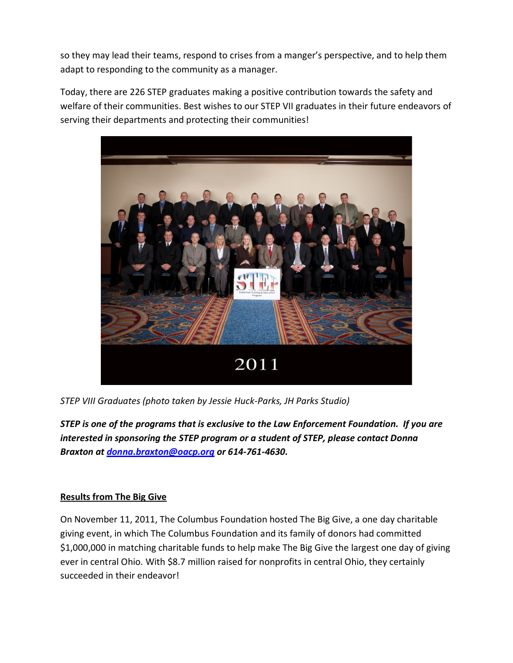so they may lead their teams, respond to crises from a manger's perspective, and to help them adapt to responding to the community as a manager.

Today, there are 226 STEP graduates making a positive contribution towards the safety and welfare of their communities. Best wishes to our STEP VII graduates in their future endeavors of serving their departments and protecting their communities!



*STEP VIII Graduates (photo taken by Jessie Huck-Parks, JH Parks Studio)*

*STEP is one of the programs that is exclusive to the Law Enforcement Foundation. If you are interested in sponsoring the STEP program or a student of STEP, please contact Donna Braxton at [donna.braxton@oacp.org](mailto:donna.braxton@oacp.org) or 614-761-4630.*

## **Results from The Big Give**

On November 11, 2011, The Columbus Foundation hosted The Big Give, a one day charitable giving event, in which The Columbus Foundation and its family of donors had committed \$1,000,000 in matching charitable funds to help make The Big Give the largest one day of giving ever in central Ohio. With \$8.7 million raised for nonprofits in central Ohio, they certainly succeeded in their endeavor!